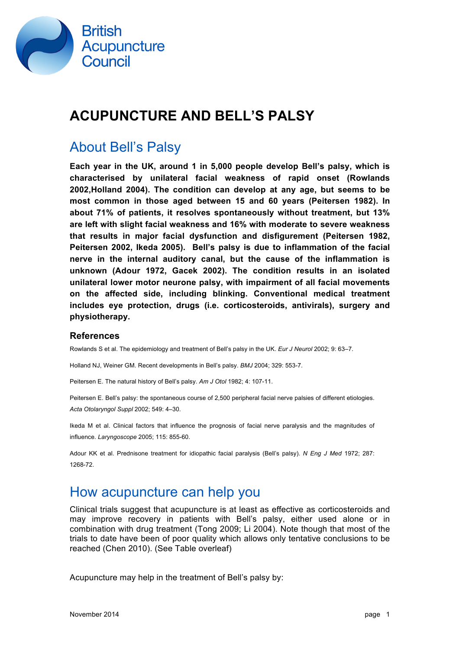

## **ACUPUNCTURE AND BELL'S PALSY**

### About Bell's Palsy

**Each year in the UK, around 1 in 5,000 people develop Bell's palsy, which is characterised by unilateral facial weakness of rapid onset (Rowlands 2002,Holland 2004). The condition can develop at any age, but seems to be most common in those aged between 15 and 60 years (Peitersen 1982). In about 71% of patients, it resolves spontaneously without treatment, but 13% are left with slight facial weakness and 16% with moderate to severe weakness that results in major facial dysfunction and disfigurement (Peitersen 1982, Peitersen 2002, Ikeda 2005). Bell's palsy is due to inflammation of the facial nerve in the internal auditory canal, but the cause of the inflammation is unknown (Adour 1972, Gacek 2002). The condition results in an isolated unilateral lower motor neurone palsy, with impairment of all facial movements on the affected side, including blinking. Conventional medical treatment includes eye protection, drugs (i.e. corticosteroids, antivirals), surgery and physiotherapy.**

#### **References**

Rowlands S et al. The epidemiology and treatment of Bell's palsy in the UK. *Eur J Neurol* 2002; 9: 63–7.

Holland NJ, Weiner GM. Recent developments in Bell's palsy. *BMJ* 2004; 329: 553-7.

Peitersen E. The natural history of Bell's palsy. *Am J Otol* 1982; 4: 107-11.

Peitersen E. Bell's palsy: the spontaneous course of 2,500 peripheral facial nerve palsies of different etiologies. *Acta Otolaryngol Suppl* 2002; 549: 4–30.

Ikeda M et al. Clinical factors that influence the prognosis of facial nerve paralysis and the magnitudes of influence. *Laryngoscope* 2005; 115: 855-60.

Adour KK et al. Prednisone treatment for idiopathic facial paralysis (Bell's palsy). *N Eng J Med* 1972; 287: 1268-72.

#### How acupuncture can help you

Clinical trials suggest that acupuncture is at least as effective as corticosteroids and may improve recovery in patients with Bell's palsy, either used alone or in combination with drug treatment (Tong 2009; Li 2004). Note though that most of the trials to date have been of poor quality which allows only tentative conclusions to be reached (Chen 2010). (See Table overleaf)

Acupuncture may help in the treatment of Bell's palsy by: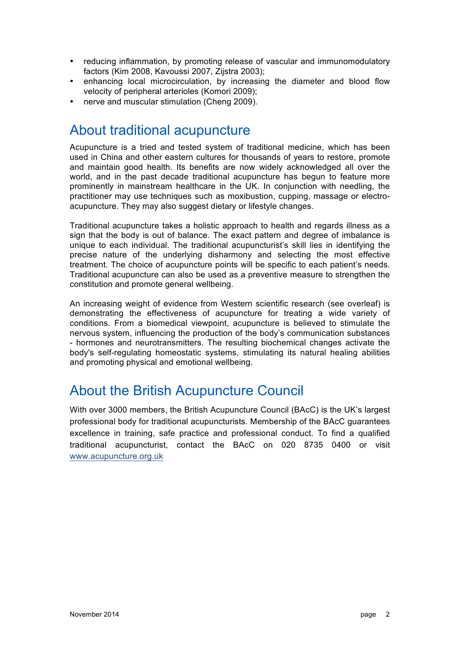- reducing inflammation, by promoting release of vascular and immunomodulatory factors (Kim 2008, Kavoussi 2007, Zijstra 2003);
- enhancing local microcirculation, by increasing the diameter and blood flow velocity of peripheral arterioles (Komori 2009);
- nerve and muscular stimulation (Cheng 2009).

#### About traditional acupuncture

Acupuncture is a tried and tested system of traditional medicine, which has been used in China and other eastern cultures for thousands of years to restore, promote and maintain good health. Its benefits are now widely acknowledged all over the world, and in the past decade traditional acupuncture has begun to feature more prominently in mainstream healthcare in the UK. In conjunction with needling, the practitioner may use techniques such as moxibustion, cupping, massage or electroacupuncture. They may also suggest dietary or lifestyle changes.

Traditional acupuncture takes a holistic approach to health and regards illness as a sign that the body is out of balance. The exact pattern and degree of imbalance is unique to each individual. The traditional acupuncturist's skill lies in identifying the precise nature of the underlying disharmony and selecting the most effective treatment. The choice of acupuncture points will be specific to each patient's needs. Traditional acupuncture can also be used as a preventive measure to strengthen the constitution and promote general wellbeing.

An increasing weight of evidence from Western scientific research (see overleaf) is demonstrating the effectiveness of acupuncture for treating a wide variety of conditions. From a biomedical viewpoint, acupuncture is believed to stimulate the nervous system, influencing the production of the body's communication substances - hormones and neurotransmitters. The resulting biochemical changes activate the body's self-regulating homeostatic systems, stimulating its natural healing abilities and promoting physical and emotional wellbeing.

### About the British Acupuncture Council

With over 3000 members, the British Acupuncture Council (BAcC) is the UK's largest professional body for traditional acupuncturists. Membership of the BAcC guarantees excellence in training, safe practice and professional conduct. To find a qualified traditional acupuncturist, contact the BAcC on 020 8735 0400 or visit www.acupuncture.org.uk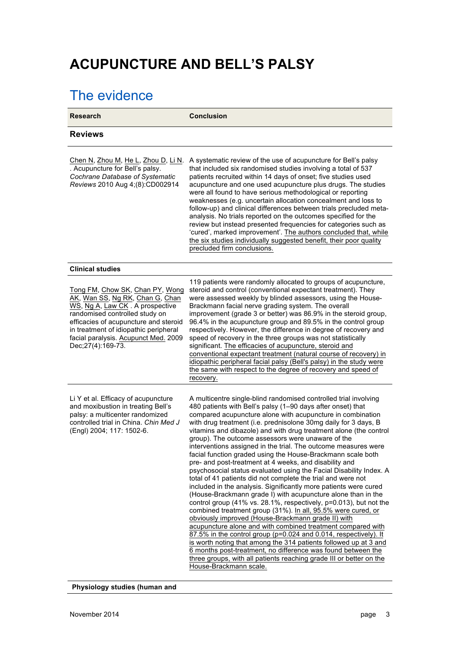# **ACUPUNCTURE AND BELL'S PALSY**

# The evidence

| <b>Research</b>                                                                                                                                                                                                                                                                          | <b>Conclusion</b>                                                                                                                                                                                                                                                                                                                                                                                                                                                                                                                                                                                                                                                                                                                                                                                                                                                                                                                                                                                                                                                                                                                                                                                                                                                                                                                                                                                                                  |
|------------------------------------------------------------------------------------------------------------------------------------------------------------------------------------------------------------------------------------------------------------------------------------------|------------------------------------------------------------------------------------------------------------------------------------------------------------------------------------------------------------------------------------------------------------------------------------------------------------------------------------------------------------------------------------------------------------------------------------------------------------------------------------------------------------------------------------------------------------------------------------------------------------------------------------------------------------------------------------------------------------------------------------------------------------------------------------------------------------------------------------------------------------------------------------------------------------------------------------------------------------------------------------------------------------------------------------------------------------------------------------------------------------------------------------------------------------------------------------------------------------------------------------------------------------------------------------------------------------------------------------------------------------------------------------------------------------------------------------|
| <b>Reviews</b>                                                                                                                                                                                                                                                                           |                                                                                                                                                                                                                                                                                                                                                                                                                                                                                                                                                                                                                                                                                                                                                                                                                                                                                                                                                                                                                                                                                                                                                                                                                                                                                                                                                                                                                                    |
| Chen N, Zhou M, He L, Zhou D, Li N.<br>. Acupuncture for Bell's palsy.<br>Cochrane Database of Systematic<br>Reviews 2010 Aug 4;(8):CD002914                                                                                                                                             | A systematic review of the use of acupuncture for Bell's palsy<br>that included six randomised studies involving a total of 537<br>patients recruited within 14 days of onset; five studies used<br>acupuncture and one used acupuncture plus drugs. The studies<br>were all found to have serious methodological or reporting<br>weaknesses (e.g. uncertain allocation concealment and loss to<br>follow-up) and clinical differences between trials precluded meta-<br>analysis. No trials reported on the outcomes specified for the<br>review but instead presented frequencies for categories such as<br>'cured', marked improvement'. The authors concluded that, while<br>the six studies individually suggested benefit, their poor quality<br>precluded firm conclusions.                                                                                                                                                                                                                                                                                                                                                                                                                                                                                                                                                                                                                                                 |
| <b>Clinical studies</b>                                                                                                                                                                                                                                                                  |                                                                                                                                                                                                                                                                                                                                                                                                                                                                                                                                                                                                                                                                                                                                                                                                                                                                                                                                                                                                                                                                                                                                                                                                                                                                                                                                                                                                                                    |
| Tong FM, Chow SK, Chan PY, Wong<br>AK, Wan SS, Ng RK, Chan G, Chan<br>WS, Ng A, Law CK. A prospective<br>randomised controlled study on<br>efficacies of acupuncture and steroid<br>in treatment of idiopathic peripheral<br>facial paralysis. Acupunct Med. 2009<br>Dec; 27(4): 169-73. | 119 patients were randomly allocated to groups of acupuncture,<br>steroid and control (conventional expectant treatment). They<br>were assessed weekly by blinded assessors, using the House-<br>Brackmann facial nerve grading system. The overall<br>improvement (grade 3 or better) was 86.9% in the steroid group,<br>96.4% in the acupuncture group and 89.5% in the control group<br>respectively. However, the difference in degree of recovery and<br>speed of recovery in the three groups was not statistically<br>significant. The efficacies of acupuncture, steroid and<br>conventional expectant treatment (natural course of recovery) in<br>idiopathic peripheral facial palsy (Bell's palsy) in the study were<br>the same with respect to the degree of recovery and speed of<br>recovery.                                                                                                                                                                                                                                                                                                                                                                                                                                                                                                                                                                                                                       |
| Li Y et al. Efficacy of acupuncture<br>and moxibustion in treating Bell's<br>palsy: a multicenter randomized<br>controlled trial in China. Chin Med J<br>(Engl) 2004; 117: 1502-6.                                                                                                       | A multicentre single-blind randomised controlled trial involving<br>480 patients with Bell's palsy (1-90 days after onset) that<br>compared acupuncture alone with acupuncture in combination<br>with drug treatment (i.e. prednisolone 30mg daily for 3 days, B<br>vitamins and dibazole) and with drug treatment alone (the control<br>group). The outcome assessors were unaware of the<br>interventions assigned in the trial. The outcome measures were<br>facial function graded using the House-Brackmann scale both<br>pre- and post-treatment at 4 weeks, and disability and<br>psychosocial status evaluated using the Facial Disability Index. A<br>total of 41 patients did not complete the trial and were not<br>included in the analysis. Significantly more patients were cured<br>(House-Brackmann grade I) with acupuncture alone than in the<br>control group (41% vs. 28.1%, respectively, p=0.013), but not the<br>combined treatment group (31%). In all, 95.5% were cured, or<br>obviously improved (House-Brackmann grade II) with<br>acupuncture alone and with combined treatment compared with<br>87.5% in the control group (p=0.024 and 0.014, respectively). It<br>is worth noting that among the 314 patients followed up at 3 and<br>6 months post-treatment, no difference was found between the<br>three groups, with all patients reaching grade III or better on the<br>House-Brackmann scale. |

**Physiology studies (human and**